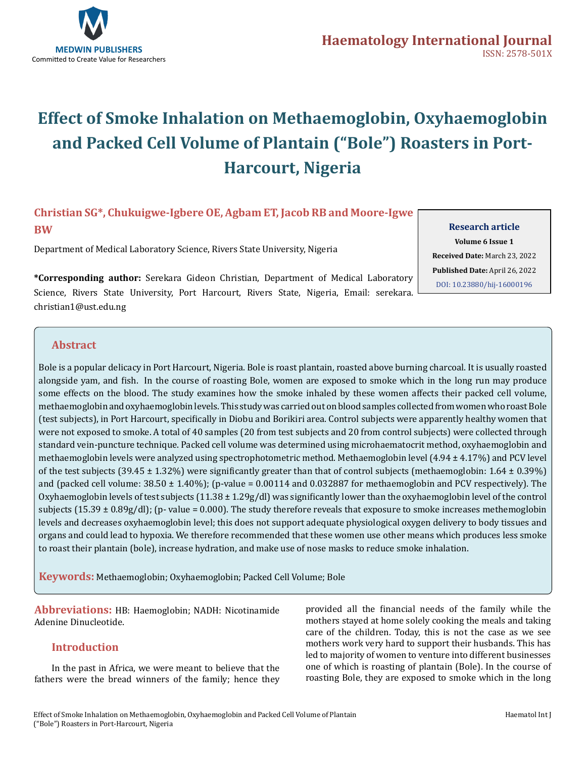

# **Effect of Smoke Inhalation on Methaemoglobin, Oxyhaemoglobin and Packed Cell Volume of Plantain ("Bole") Roasters in Port-Harcourt, Nigeria**

# **Christian SG\*, Chukuigwe-Igbere OE, Agbam ET, Jacob RB and Moore-Igwe BW**

Department of Medical Laboratory Science, Rivers State University, Nigeria

**\*Corresponding author:** Serekara Gideon Christian, Department of Medical Laboratory Science, Rivers State University, Port Harcourt, Rivers State, Nigeria, Email: serekara. christian1@ust.edu.ng

**Research article Volume 6 Issue 1 Received Date:** March 23, 2022 **Published Date:** April 26, 2022 [DOI: 10.23880/hij-16000196](https://doi.org/10.23880/hij-16000196)

# **Abstract**

Bole is a popular delicacy in Port Harcourt, Nigeria. Bole is roast plantain, roasted above burning charcoal. It is usually roasted alongside yam, and fish. In the course of roasting Bole, women are exposed to smoke which in the long run may produce some effects on the blood. The study examines how the smoke inhaled by these women affects their packed cell volume, methaemoglobin and oxyhaemoglobin levels. This study was carried out on blood samples collected from women who roast Bole (test subjects), in Port Harcourt, specifically in Diobu and Borikiri area. Control subjects were apparently healthy women that were not exposed to smoke. A total of 40 samples (20 from test subjects and 20 from control subjects) were collected through standard vein-puncture technique. Packed cell volume was determined using microhaematocrit method, oxyhaemoglobin and methaemoglobin levels were analyzed using spectrophotometric method. Methaemoglobin level (4.94 ± 4.17%) and PCV level of the test subjects (39.45  $\pm$  1.32%) were significantly greater than that of control subjects (methaemoglobin: 1.64  $\pm$  0.39%) and (packed cell volume:  $38.50 \pm 1.40\%$ ); (p-value = 0.00114 and 0.032887 for methaemoglobin and PCV respectively). The Oxyhaemoglobin levels of test subjects  $(11.38 \pm 1.29g/dl)$  was significantly lower than the oxyhaemoglobin level of the control subjects  $(15.39 \pm 0.89g/d)$ ; (p-value = 0.000). The study therefore reveals that exposure to smoke increases methemoglobin levels and decreases oxyhaemoglobin level; this does not support adequate physiological oxygen delivery to body tissues and organs and could lead to hypoxia. We therefore recommended that these women use other means which produces less smoke to roast their plantain (bole), increase hydration, and make use of nose masks to reduce smoke inhalation.

**Keywords:** Methaemoglobin; Oxyhaemoglobin; Packed Cell Volume; Bole

**Abbreviations:** HB: Haemoglobin; NADH: Nicotinamide Adenine Dinucleotide.

# **Introduction**

In the past in Africa, we were meant to believe that the fathers were the bread winners of the family; hence they

provided all the financial needs of the family while the mothers stayed at home solely cooking the meals and taking care of the children. Today, this is not the case as we see mothers work very hard to support their husbands. This has led to majority of women to venture into different businesses one of which is roasting of plantain (Bole). In the course of roasting Bole, they are exposed to smoke which in the long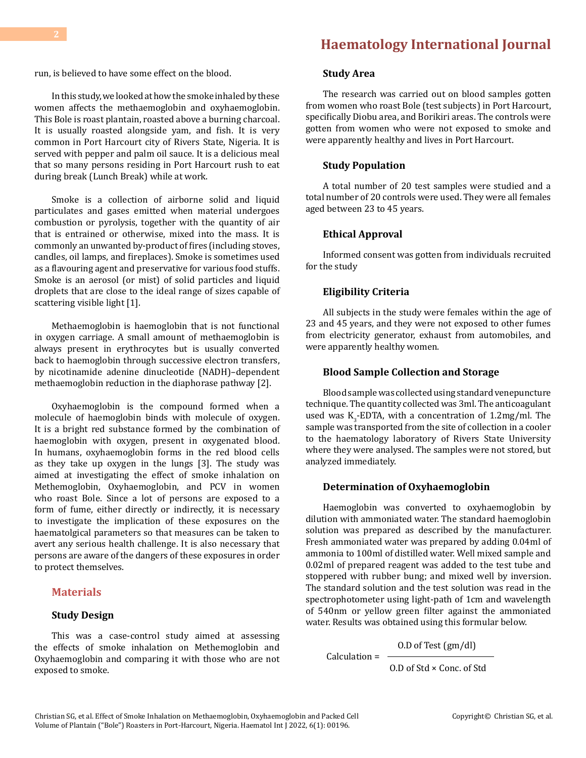run, is believed to have some effect on the blood.

In this study, we looked at how the smoke inhaled by these women affects the methaemoglobin and oxyhaemoglobin. This Bole is roast plantain, roasted above a burning charcoal. It is usually roasted alongside yam, and fish. It is very common in Port Harcourt city of Rivers State, Nigeria. It is served with pepper and palm oil sauce. It is a delicious meal that so many persons residing in Port Harcourt rush to eat during break (Lunch Break) while at work.

Smoke is a collection of airborne solid and liquid particulates and gases emitted when material undergoes combustion or pyrolysis, together with the quantity of air that is entrained or otherwise, mixed into the mass. It is commonly an unwanted by-product of fires (including stoves, candles, oil lamps, and fireplaces). Smoke is sometimes used as a flavouring agent and preservative for various food stuffs. Smoke is an aerosol (or mist) of solid particles and liquid droplets that are close to the ideal range of sizes capable of scattering visible light [1].

Methaemoglobin is haemoglobin that is not functional in oxygen carriage. A small amount of methaemoglobin is always present in erythrocytes but is usually converted back to haemoglobin through successive electron transfers, by nicotinamide adenine dinucleotide (NADH)–dependent methaemoglobin reduction in the diaphorase pathway [2].

Oxyhaemoglobin is the compound formed when a molecule of haemoglobin binds with molecule of oxygen. It is a bright red substance formed by the combination of haemoglobin with oxygen, present in oxygenated blood. In humans, oxyhaemoglobin forms in the red blood cells as they take up oxygen in the lungs [3]. The study was aimed at investigating the effect of smoke inhalation on Methemoglobin, Oxyhaemoglobin, and PCV in women who roast Bole. Since a lot of persons are exposed to a form of fume, either directly or indirectly, it is necessary to investigate the implication of these exposures on the haematolgical parameters so that measures can be taken to avert any serious health challenge. It is also necessary that persons are aware of the dangers of these exposures in order to protect themselves.

#### **Materials**

## **Study Design**

This was a case-control study aimed at assessing the effects of smoke inhalation on Methemoglobin and Oxyhaemoglobin and comparing it with those who are not exposed to smoke.

## **Study Area**

The research was carried out on blood samples gotten from women who roast Bole (test subjects) in Port Harcourt, specifically Diobu area, and Borikiri areas. The controls were gotten from women who were not exposed to smoke and were apparently healthy and lives in Port Harcourt.

#### **Study Population**

A total number of 20 test samples were studied and a total number of 20 controls were used. They were all females aged between 23 to 45 years.

#### **Ethical Approval**

Informed consent was gotten from individuals recruited for the study

#### **Eligibility Criteria**

All subjects in the study were females within the age of 23 and 45 years, and they were not exposed to other fumes from electricity generator, exhaust from automobiles, and were apparently healthy women.

#### **Blood Sample Collection and Storage**

Blood sample was collected using standard venepuncture technique. The quantity collected was 3ml. The anticoagulant used was  $K_3$ -EDTA, with a concentration of 1.2mg/ml. The sample was transported from the site of collection in a cooler to the haematology laboratory of Rivers State University where they were analysed. The samples were not stored, but analyzed immediately.

#### **Determination of Oxyhaemoglobin**

Haemoglobin was converted to oxyhaemoglobin by dilution with ammoniated water. The standard haemoglobin solution was prepared as described by the manufacturer. Fresh ammoniated water was prepared by adding 0.04ml of ammonia to 100ml of distilled water. Well mixed sample and 0.02ml of prepared reagent was added to the test tube and stoppered with rubber bung; and mixed well by inversion. The standard solution and the test solution was read in the spectrophotometer using light-path of 1cm and wavelength of 540nm or yellow green filter against the ammoniated water. Results was obtained using this formular below.

O.D of Test (gm/dl)

 $Calculation = -$ O.D of Std × Conc. of Std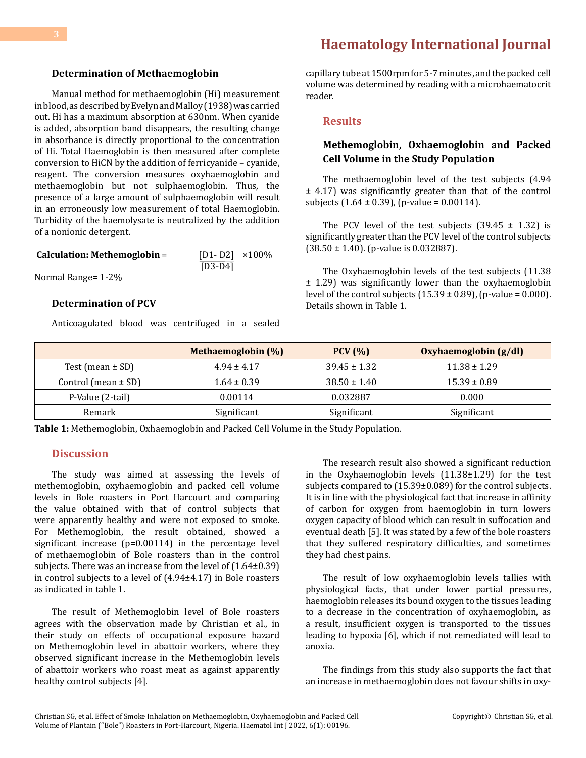# **[Haematology International Journal](https://medwinpublishers.com/HIJ/)**

#### **Determination of Methaemoglobin**

Manual method for methaemoglobin (Hi) measurement in blood, as described by Evelyn and Malloy (1938) was carried out. Hi has a maximum absorption at 630nm. When cyanide is added, absorption band disappears, the resulting change in absorbance is directly proportional to the concentration of Hi. Total Haemoglobin is then measured after complete conversion to HiCN by the addition of ferricyanide – cyanide, reagent. The conversion measures oxyhaemoglobin and methaemoglobin but not sulphaemoglobin. Thus, the presence of a large amount of sulphaemoglobin will result in an erroneously low measurement of total Haemoglobin. Turbidity of the haemolysate is neutralized by the addition of a nonionic detergent.

| Calculation: Methemoglobin = | $[D1 - D2]$ ×100% |  |
|------------------------------|-------------------|--|
|                              | $[D3-D4]$         |  |

Normal Range= 1-2%

## **Determination of PCV**

Anticoagulated blood was centrifuged in a sealed

capillary tube at 1500rpm for 5-7 minutes, and the packed cell volume was determined by reading with a microhaematocrit reader.

#### **Results**

# **Methemoglobin, Oxhaemoglobin and Packed Cell Volume in the Study Population**

The methaemoglobin level of the test subjects (4.94 ± 4.17) was significantly greater than that of the control subjects  $(1.64 \pm 0.39)$ , (p-value = 0.00114).

The PCV level of the test subjects  $(39.45 \pm 1.32)$  is significantly greater than the PCV level of the control subjects (38.50 ± 1.40). (p-value is 0.032887).

The Oxyhaemoglobin levels of the test subjects (11.38 ± 1.29) was significantly lower than the oxyhaemoglobin level of the control subjects  $(15.39 \pm 0.89)$ ,  $(p-value = 0.000)$ . Details shown in Table 1.

|                         | Methaemoglobin (%) | PCV(%)           | Oxyhaemoglobin (g/dl) |
|-------------------------|--------------------|------------------|-----------------------|
| Test (mean $\pm$ SD)    | $4.94 \pm 4.17$    | $39.45 \pm 1.32$ | $11.38 \pm 1.29$      |
| Control (mean $\pm$ SD) | $1.64 \pm 0.39$    | $38.50 \pm 1.40$ | $15.39 \pm 0.89$      |
| P-Value (2-tail)        | 0.00114            | 0.032887         | 0.000                 |
| Remark                  | Significant        | Significant      | Significant           |

**Table 1:** Methemoglobin, Oxhaemoglobin and Packed Cell Volume in the Study Population.

#### **Discussion**

The study was aimed at assessing the levels of methemoglobin, oxyhaemoglobin and packed cell volume levels in Bole roasters in Port Harcourt and comparing the value obtained with that of control subjects that were apparently healthy and were not exposed to smoke. For Methemoglobin, the result obtained, showed a significant increase (p=0.00114) in the percentage level of methaemoglobin of Bole roasters than in the control subjects. There was an increase from the level of (1.64±0.39) in control subjects to a level of (4.94±4.17) in Bole roasters as indicated in table 1.

The result of Methemoglobin level of Bole roasters agrees with the observation made by Christian et al., in their study on effects of occupational exposure hazard on Methemoglobin level in abattoir workers, where they observed significant increase in the Methemoglobin levels of abattoir workers who roast meat as against apparently healthy control subjects [4].

The research result also showed a significant reduction in the Oxyhaemoglobin levels (11.38±1.29) for the test subjects compared to (15.39±0.089) for the control subjects. It is in line with the physiological fact that increase in affinity of carbon for oxygen from haemoglobin in turn lowers oxygen capacity of blood which can result in suffocation and eventual death [5]. It was stated by a few of the bole roasters that they suffered respiratory difficulties, and sometimes they had chest pains.

The result of low oxyhaemoglobin levels tallies with physiological facts, that under lower partial pressures, haemoglobin releases its bound oxygen to the tissues leading to a decrease in the concentration of oxyhaemoglobin, as a result, insufficient oxygen is transported to the tissues leading to hypoxia [6], which if not remediated will lead to anoxia.

The findings from this study also supports the fact that an increase in methaemoglobin does not favour shifts in oxy